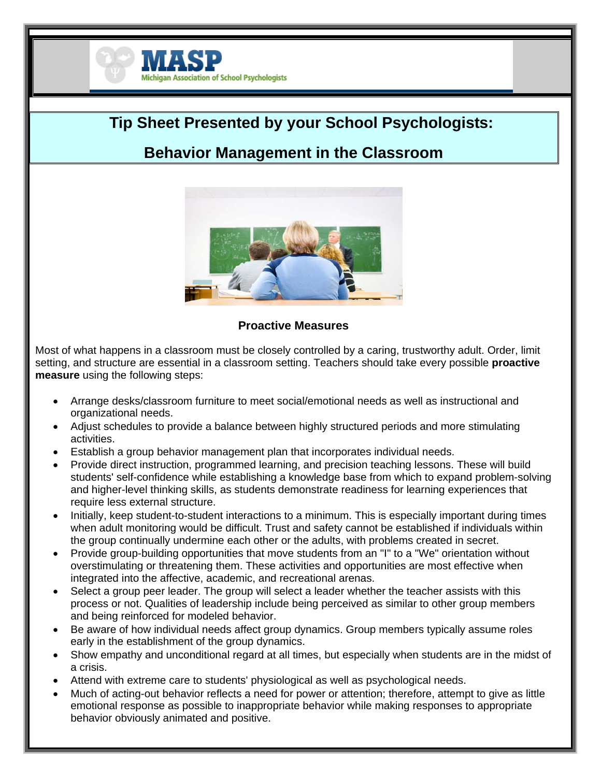

# **Tip Sheet Presented by your School Psychologists:**

## **Behavior Management in the Classroom**



## **Proactive Measures**

Most of what happens in a classroom must be closely controlled by a caring, trustworthy adult. Order, limit setting, and structure are essential in a classroom setting. Teachers should take every possible **proactive measure** using the following steps:

- Arrange desks/classroom furniture to meet social/emotional needs as well as instructional and organizational needs.
- Adjust schedules to provide a balance between highly structured periods and more stimulating activities.
- Establish a group behavior management plan that incorporates individual needs.
- Provide direct instruction, programmed learning, and precision teaching lessons. These will build students' self-confidence while establishing a knowledge base from which to expand problem-solving and higher-level thinking skills, as students demonstrate readiness for learning experiences that require less external structure.
- Initially, keep student-to-student interactions to a minimum. This is especially important during times when adult monitoring would be difficult. Trust and safety cannot be established if individuals within the group continually undermine each other or the adults, with problems created in secret.
- Provide group-building opportunities that move students from an "I" to a "We" orientation without overstimulating or threatening them. These activities and opportunities are most effective when integrated into the affective, academic, and recreational arenas.
- Select a group peer leader. The group will select a leader whether the teacher assists with this process or not. Qualities of leadership include being perceived as similar to other group members and being reinforced for modeled behavior.
- Be aware of how individual needs affect group dynamics. Group members typically assume roles early in the establishment of the group dynamics.
- Show empathy and unconditional regard at all times, but especially when students are in the midst of a crisis.
- Attend with extreme care to students' physiological as well as psychological needs.
- Much of acting-out behavior reflects a need for power or attention; therefore, attempt to give as little emotional response as possible to inappropriate behavior while making responses to appropriate behavior obviously animated and positive.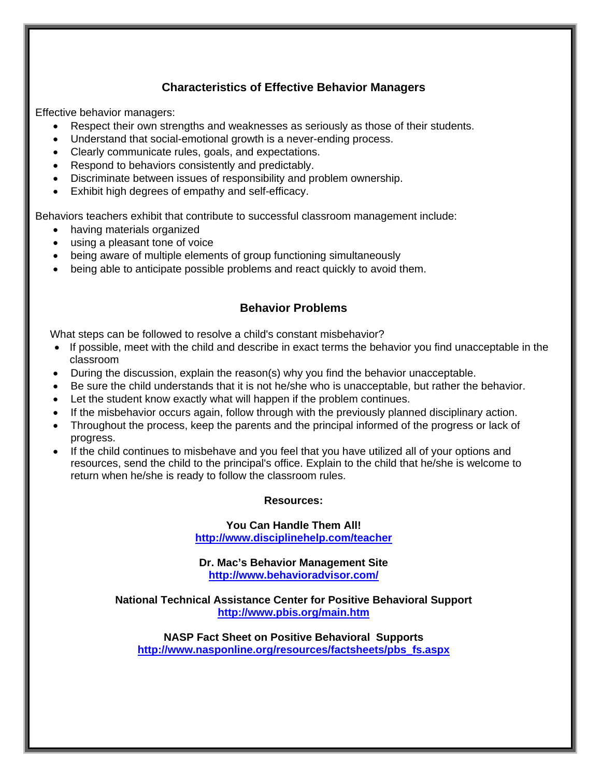## **Characteristics of Effective Behavior Managers**

Effective behavior managers:

- Respect their own strengths and weaknesses as seriously as those of their students.
- Understand that social-emotional growth is a never-ending process.
- Clearly communicate rules, goals, and expectations.
- Respond to behaviors consistently and predictably.
- Discriminate between issues of responsibility and problem ownership.
- Exhibit high degrees of empathy and self-efficacy.

Behaviors teachers exhibit that contribute to successful classroom management include:

- having materials organized
- using a pleasant tone of voice
- being aware of multiple elements of group functioning simultaneously
- being able to anticipate possible problems and react quickly to avoid them.

### **Behavior Problems**

What steps can be followed to resolve a child's constant misbehavior?

- If possible, meet with the child and describe in exact terms the behavior you find unacceptable in the classroom
- During the discussion, explain the reason(s) why you find the behavior unacceptable.
- Be sure the child understands that it is not he/she who is unacceptable, but rather the behavior.
- Let the student know exactly what will happen if the problem continues.
- If the misbehavior occurs again, follow through with the previously planned disciplinary action.
- Throughout the process, keep the parents and the principal informed of the progress or lack of progress.
- If the child continues to misbehave and you feel that you have utilized all of your options and resources, send the child to the principal's office. Explain to the child that he/she is welcome to return when he/she is ready to follow the classroom rules.

### **Resources:**

**You Can Handle Them All! http://www.disciplinehelp.com/teacher**

**Dr. Mac's Behavior Management Site http://www.behavioradvisor.com/**

**National Technical Assistance Center for Positive Behavioral Support http://www.pbis.org/main.htm**

**NASP Fact Sheet on Positive Behavioral Supports http://www.nasponline.org/resources/factsheets/pbs\_fs.aspx**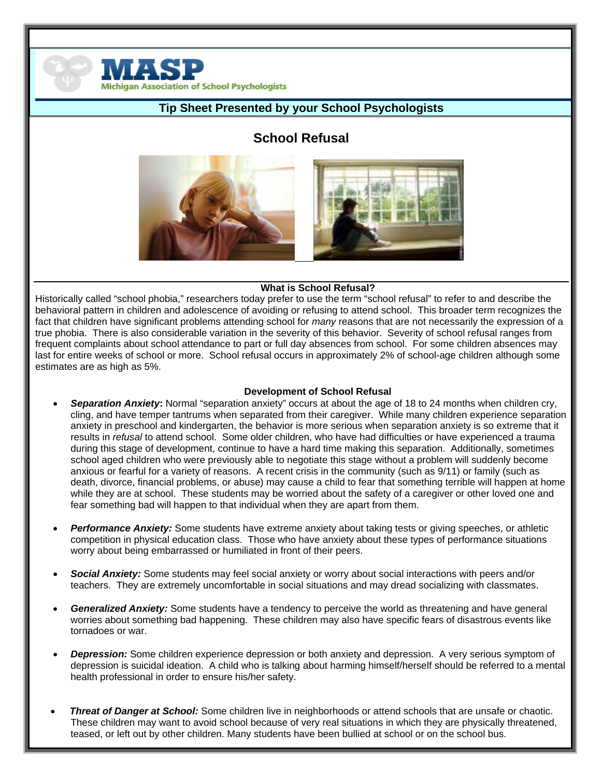

## **Tip Sheet Presented by your School Psychologists**

## **School Refusal**



### **What is School Refusal?**

Historically called "school phobia," researchers today prefer to use the term "school refusal" to refer to and describe the behavioral pattern in children and adolescence of avoiding or refusing to attend school. This broader term recognizes the fact that children have significant problems attending school for *many* reasons that are not necessarily the expression of a true phobia. There is also considerable variation in the severity of this behavior. Severity of school refusal ranges from frequent complaints about school attendance to part or full day absences from school. For some children absences may last for entire weeks of school or more. School refusal occurs in approximately 2% of school-age children although some estimates are as high as 5%.

#### **Development of School Refusal**

- *Separation Anxiety***:** Normal "separation anxiety" occurs at about the age of 18 to 24 months when children cry, cling, and have temper tantrums when separated from their caregiver. While many children experience separation anxiety in preschool and kindergarten, the behavior is more serious when separation anxiety is so extreme that it results in *refusal* to attend school. Some older children, who have had difficulties or have experienced a trauma during this stage of development, continue to have a hard time making this separation. Additionally, sometimes school aged children who were previously able to negotiate this stage without a problem will suddenly become anxious or fearful for a variety of reasons. A recent crisis in the community (such as 9/11) or family (such as death, divorce, financial problems, or abuse) may cause a child to fear that something terrible will happen at home while they are at school. These students may be worried about the safety of a caregiver or other loved one and fear something bad will happen to that individual when they are apart from them.
- *Performance Anxiety:* Some students have extreme anxiety about taking tests or giving speeches, or athletic competition in physical education class. Those who have anxiety about these types of performance situations worry about being embarrassed or humiliated in front of their peers.
- *Social Anxiety:* Some students may feel social anxiety or worry about social interactions with peers and/or teachers. They are extremely uncomfortable in social situations and may dread socializing with classmates.
- *Generalized Anxiety:* Some students have a tendency to perceive the world as threatening and have general worries about something bad happening. These children may also have specific fears of disastrous events like tornadoes or war.
- *Depression:* Some children experience depression or both anxiety and depression. A very serious symptom of depression is suicidal ideation. A child who is talking about harming himself/herself should be referred to a mental health professional in order to ensure his/her safety.
- *Threat of Danger at School:* Some children live in neighborhoods or attend schools that are unsafe or chaotic. These children may want to avoid school because of very real situations in which they are physically threatened, teased, or left out by other children. Many students have been bullied at school or on the school bus.